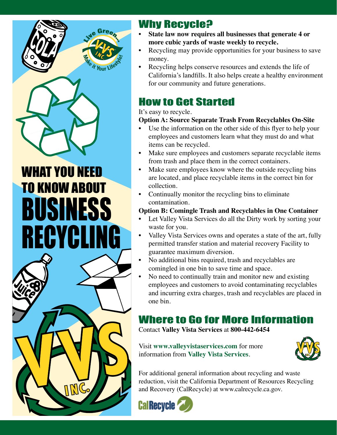

# WHAT YOU NEED TO KNOW ABOUT BUSINESS RECYCLING



## **Why Recycle?**<br>Cata law now require

- State law now requires all businesses that generate 4 or **more cubic yards of waste weekly to recycle.**
- Recycling may provide opportunities for your business to save money.
- Recycling helps conserve resources and extends the life of California's landfills. It also helps create a healthy environment for our community and future generations.

### How to Get Started

#### It's easy to recycle.

#### **Option A: Source Separate Trash From Recyclables On-Site**

- Use the information on the other side of this flyer to help your employees and customers learn what they must do and what items can be recycled.
- Make sure employees and customers separate recyclable items from trash and place them in the correct containers.
- Make sure employees know where the outside recycling bins are located, and place recyclable items in the correct bin for collection.
- Continually monitor the recycling bins to eliminate contamination.

#### **Option B: Comingle Trash and Recyclables in One Container**

- Let Valley Vista Services do all the Dirty work by sorting your waste for you.
- Valley Vista Services owns and operates a state of the art, fully permitted transfer station and material recovery Facility to guarantee maximum diversion.
- No additional bins required, trash and recyclables are comingled in one bin to save time and space.
- No need to continually train and monitor new and existing employees and customers to avoid contaminating recyclables and incurring extra charges, trash and recyclables are placed in one bin.

### Where to Go for More Information

Contact **Valley Vista Services** at **800-442-6454**

Visit **www.valleyvistaservices.com** for more information from **Valley Vista Services**.



For additional general information about recycling and waste reduction, visit the California Department of Resources Recycling and Recovery (CalRecycle) at www.calrecycle.ca.gov.